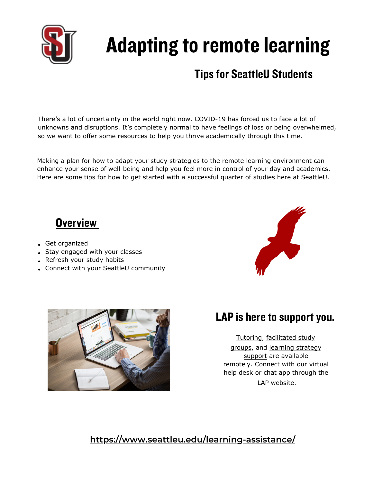

# Adapting to remote learning

# **Tips for SeattleU Students**

There's a lot of uncertainty in the world right now. COVID-19 has forced us to face a lot of unknowns and disruptions. It's completely normal to have feelings of loss or being overwhelmed, so we want to offer some resources to help you thrive academically through this time.

Making a plan for how to adapt your study strategies to the remote learning environment can enhance your sense of well-being and help you feel more in control of your day and academics. Here are some tips for how to get started with a successful quarter of studies here at SeattleU.

# **Overview**

- Get organized
- Stay engaged with your classes
- Refresh your study habits
- Connect with your SeattleU community





## LAP is here to support you.

[Tutoring](https://www.seattleu.edu/learning-assistance/tutoring-services/), [facilitated study](https://www.seattleu.edu/learning-assistance/group-study/) [groups,](https://www.seattleu.edu/learning-assistance/group-study/) and [learning strategy](https://www.seattleu.edu/learning-assistance/learning-strategy-workshop-series/) [support](https://www.seattleu.edu/learning-assistance/learning-strategy-workshop-series/) are available remotely. Connect with our virtual help desk or chat app through the LAP website.

#### **<https://www.seattleu.edu/learning-assistance/>**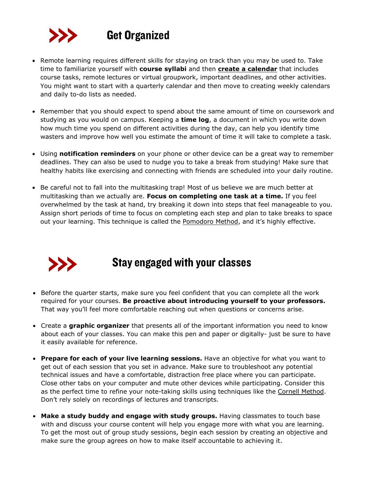

- Remote learning requires different skills for staying on track than you may be used to. Take time to familiarize yourself with **course syllabi** and then **[create a calendar](https://www.seattleu.edu/learning-assistance/learning-resources/quick-reads-and-handouts/)** that includes course tasks, remote lectures or virtual groupwork, important deadlines, and other activities. You might want to start with a quarterly calendar and then move to creating weekly calendars and daily to-do lists as needed.
- Remember that you should expect to spend about the same amount of time on coursework and studying as you would on campus. Keeping a **time log**, a document in which you write down how much time you spend on different activities during the day, can help you identify time wasters and improve how well you estimate the amount of time it will take to complete a task.
- Using **notification reminders** on your phone or other device can be a great way to remember deadlines. They can also be used to nudge you to take a break from studying! Make sure that healthy habits like exercising and connecting with friends are scheduled into your daily routine.
- Be careful not to fall into the multitasking trap! Most of us believe we are much better at multitasking than we actually are. **Focus on completing one task at a time.** If you feel overwhelmed by the task at hand, try breaking it down into steps that feel manageable to you. Assign short periods of time to focus on completing each step and plan to take breaks to space out your learning. This technique is called the [Pomodoro Method](https://francescocirillo.com/pages/pomodoro-technique), and it's highly effective.



#### Stay engaged with your classes

- Before the quarter starts, make sure you feel confident that you can complete all the work required for your courses. **Be proactive about introducing yourself to your professors.** That way you'll feel more comfortable reaching out when questions or concerns arise.
- Create a **graphic organizer** that presents all of the important information you need to know about each of your classes. You can make this pen and paper or digitally- just be sure to have it easily available for reference.
- **Prepare for each of your live learning sessions.** Have an objective for what you want to get out of each session that you set in advance. Make sure to troubleshoot any potential technical issues and have a comfortable, distraction free place where you can participate. Close other tabs on your computer and mute other devices while participating. Consider this as the perfect time to refine your note-taking skills using techniques like the [Cornell Method.](http://lsc.cornell.edu/study-skills/cornell-note-taking-system/) Don't rely solely on recordings of lectures and transcripts.
- **Make a study buddy and engage with study groups.** Having classmates to touch base with and discuss your course content will help you engage more with what you are learning. To get the most out of group study sessions, begin each session by creating an objective and make sure the group agrees on how to make itself accountable to achieving it.